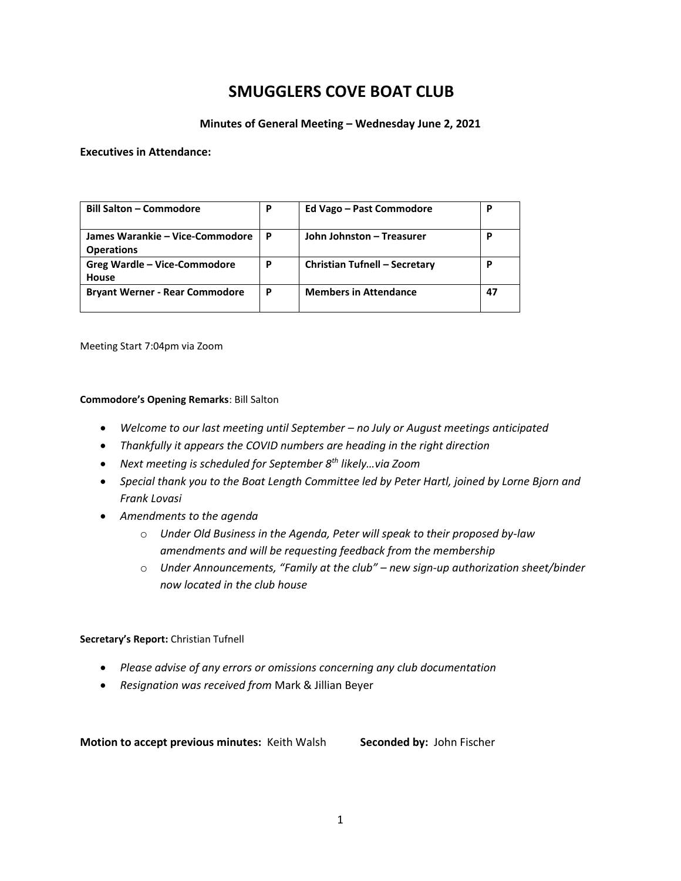# **SMUGGLERS COVE BOAT CLUB**

#### **Minutes of General Meeting – Wednesday June 2, 2021**

#### **Executives in Attendance:**

| <b>Bill Salton - Commodore</b>                       | P | Ed Vago - Past Commodore      | Р  |
|------------------------------------------------------|---|-------------------------------|----|
| James Warankie – Vice-Commodore<br><b>Operations</b> | P | John Johnston - Treasurer     | р  |
| <b>Greg Wardle - Vice-Commodore</b><br>House         | P | Christian Tufnell - Secretary | Р  |
| <b>Bryant Werner - Rear Commodore</b>                | P | <b>Members in Attendance</b>  | 47 |

Meeting Start 7:04pm via Zoom

#### **Commodore's Opening Remarks**: Bill Salton

- *Welcome to our last meeting until September – no July or August meetings anticipated*
- *Thankfully it appears the COVID numbers are heading in the right direction*
- *Next meeting is scheduled for September 8th likely…via Zoom*
- *Special thank you to the Boat Length Committee led by Peter Hartl, joined by Lorne Bjorn and Frank Lovasi*
- *Amendments to the agenda*
	- o *Under Old Business in the Agenda, Peter will speak to their proposed by-law amendments and will be requesting feedback from the membership*
	- o *Under Announcements, "Family at the club" – new sign-up authorization sheet/binder now located in the club house*

#### **Secretary's Report:** Christian Tufnell

- *Please advise of any errors or omissions concerning any club documentation*
- *Resignation was received from* Mark & Jillian Beyer

**Motion to accept previous minutes: Keith Walsh <b>Seconded by: John Fischer**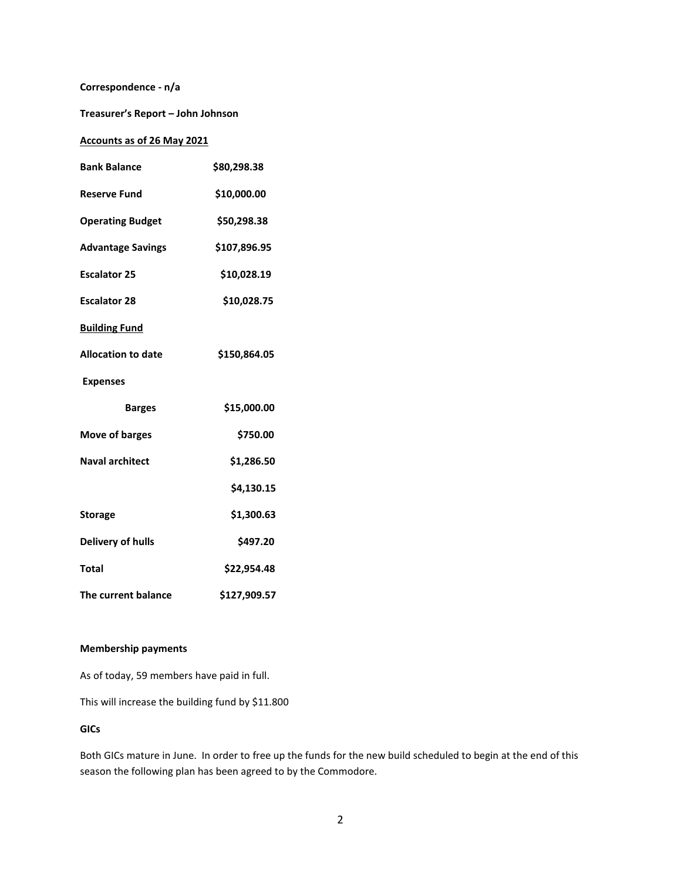#### **Correspondence - n/a**

**Treasurer's Report – John Johnson**

#### **Accounts as of 26 May 2021**

| <b>Bank Balance</b>       | \$80,298.38  |  |
|---------------------------|--------------|--|
| <b>Reserve Fund</b>       | \$10,000.00  |  |
| <b>Operating Budget</b>   | \$50,298.38  |  |
| <b>Advantage Savings</b>  | \$107,896.95 |  |
| <b>Escalator 25</b>       | \$10,028.19  |  |
| <b>Escalator 28</b>       | \$10,028.75  |  |
| <b>Building Fund</b>      |              |  |
| <b>Allocation to date</b> | \$150,864.05 |  |
| <b>Expenses</b>           |              |  |
| <b>Barges</b>             | \$15,000.00  |  |
| <b>Move of barges</b>     | \$750.00     |  |
| <b>Naval architect</b>    | \$1,286.50   |  |
|                           | \$4,130.15   |  |
| <b>Storage</b>            | \$1,300.63   |  |
| <b>Delivery of hulls</b>  | \$497.20     |  |
| Total                     | \$22,954.48  |  |
| The current balance       | \$127,909.57 |  |

#### **Membership payments**

As of today, 59 members have paid in full.

This will increase the building fund by \$11.800

#### **GICs**

Both GICs mature in June. In order to free up the funds for the new build scheduled to begin at the end of this season the following plan has been agreed to by the Commodore.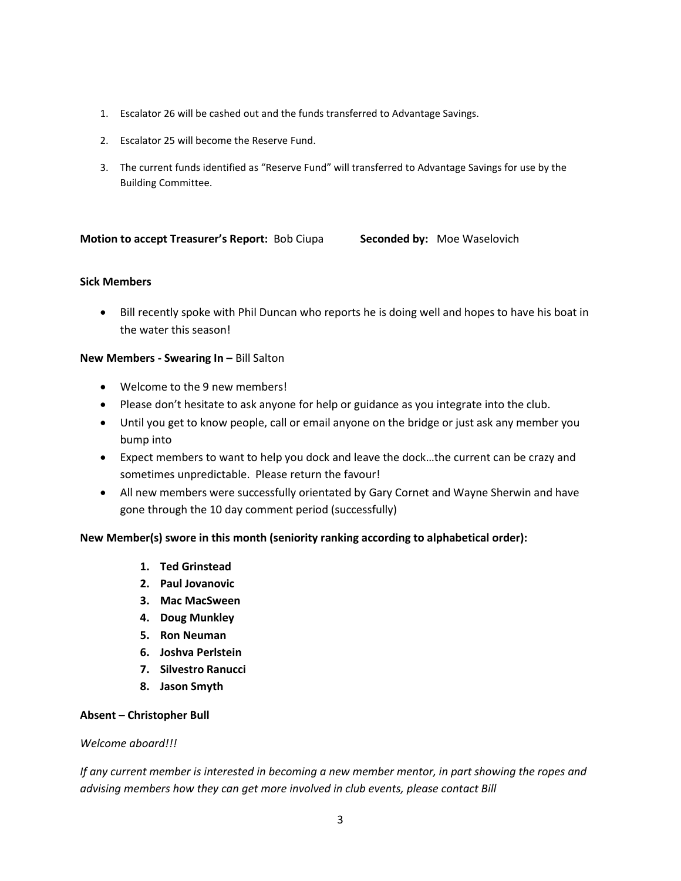- 1. Escalator 26 will be cashed out and the funds transferred to Advantage Savings.
- 2. Escalator 25 will become the Reserve Fund.
- 3. The current funds identified as "Reserve Fund" will transferred to Advantage Savings for use by the Building Committee.

## **Motion to accept Treasurer's Report: Bob Ciupa <b>Seconded by:** Moe Waselovich

#### **Sick Members**

• Bill recently spoke with Phil Duncan who reports he is doing well and hopes to have his boat in the water this season!

#### **New Members - Swearing In –** Bill Salton

- Welcome to the 9 new members!
- Please don't hesitate to ask anyone for help or guidance as you integrate into the club.
- Until you get to know people, call or email anyone on the bridge or just ask any member you bump into
- Expect members to want to help you dock and leave the dock…the current can be crazy and sometimes unpredictable. Please return the favour!
- All new members were successfully orientated by Gary Cornet and Wayne Sherwin and have gone through the 10 day comment period (successfully)

## **New Member(s) swore in this month (seniority ranking according to alphabetical order):**

- **1. Ted Grinstead**
- **2. Paul Jovanovic**
- **3. Mac MacSween**
- **4. Doug Munkley**
- **5. Ron Neuman**
- **6. Joshva Perlstein**
- **7. Silvestro Ranucci**
- **8. Jason Smyth**

## **Absent – Christopher Bull**

#### *Welcome aboard!!!*

*If any current member is interested in becoming a new member mentor, in part showing the ropes and advising members how they can get more involved in club events, please contact Bill*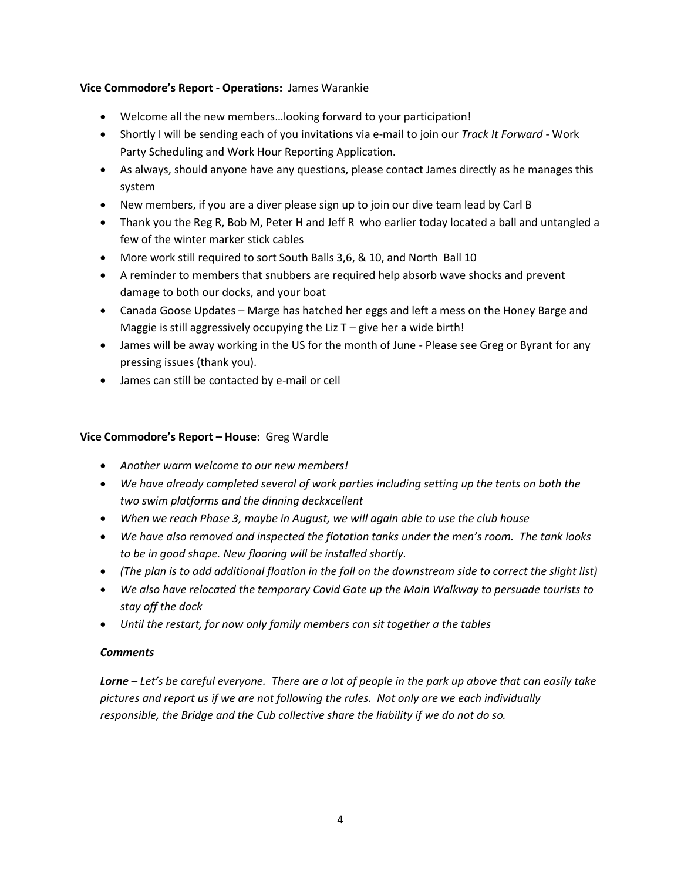# **Vice Commodore's Report - Operations:** James Warankie

- Welcome all the new members…looking forward to your participation!
- Shortly I will be sending each of you invitations via e-mail to join our *Track It Forward* Work Party Scheduling and Work Hour Reporting Application.
- As always, should anyone have any questions, please contact James directly as he manages this system
- New members, if you are a diver please sign up to join our dive team lead by Carl B
- Thank you the Reg R, Bob M, Peter H and Jeff R who earlier today located a ball and untangled a few of the winter marker stick cables
- More work still required to sort South Balls 3,6, & 10, and North Ball 10
- A reminder to members that snubbers are required help absorb wave shocks and prevent damage to both our docks, and your boat
- Canada Goose Updates Marge has hatched her eggs and left a mess on the Honey Barge and Maggie is still aggressively occupying the Liz T – give her a wide birth!
- James will be away working in the US for the month of June Please see Greg or Byrant for any pressing issues (thank you).
- James can still be contacted by e-mail or cell

# **Vice Commodore's Report – House:** Greg Wardle

- *Another warm welcome to our new members!*
- *We have already completed several of work parties including setting up the tents on both the two swim platforms and the dinning deckxcellent*
- *When we reach Phase 3, maybe in August, we will again able to use the club house*
- *We have also removed and inspected the flotation tanks under the men's room. The tank looks to be in good shape. New flooring will be installed shortly.*
- *(The plan is to add additional floation in the fall on the downstream side to correct the slight list)*
- *We also have relocated the temporary Covid Gate up the Main Walkway to persuade tourists to stay off the dock*
- *Until the restart, for now only family members can sit together a the tables*

# *Comments*

*Lorne – Let's be careful everyone. There are a lot of people in the park up above that can easily take pictures and report us if we are not following the rules. Not only are we each individually responsible, the Bridge and the Cub collective share the liability if we do not do so.*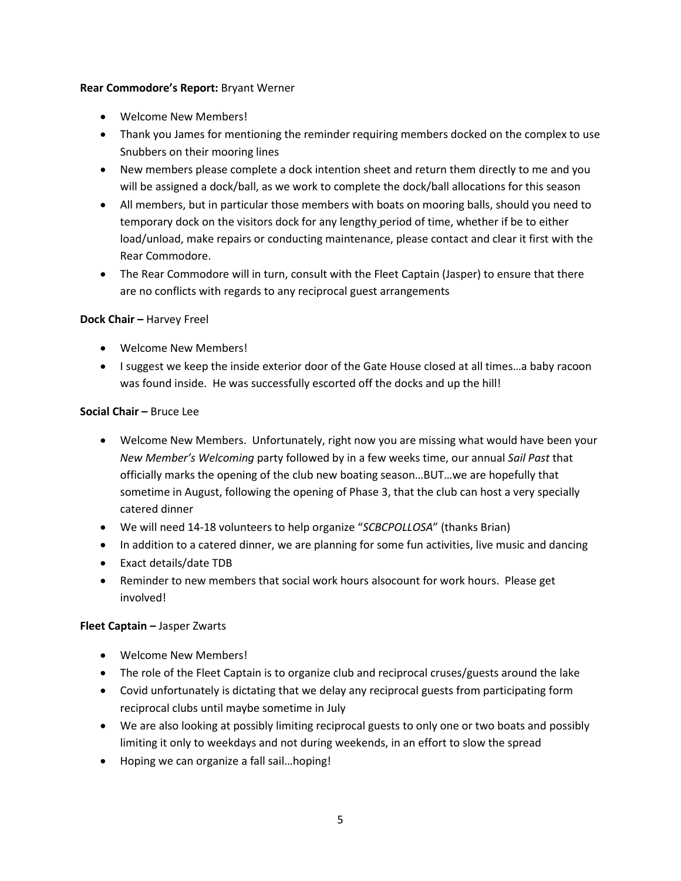#### **Rear Commodore's Report:** Bryant Werner

- Welcome New Members!
- Thank you James for mentioning the reminder requiring members docked on the complex to use Snubbers on their mooring lines
- New members please complete a dock intention sheet and return them directly to me and you will be assigned a dock/ball, as we work to complete the dock/ball allocations for this season
- All members, but in particular those members with boats on mooring balls, should you need to temporary dock on the visitors dock for any lengthy period of time, whether if be to either load/unload, make repairs or conducting maintenance, please contact and clear it first with the Rear Commodore.
- The Rear Commodore will in turn, consult with the Fleet Captain (Jasper) to ensure that there are no conflicts with regards to any reciprocal guest arrangements

## **Dock Chair –** Harvey Freel

- Welcome New Members!
- I suggest we keep the inside exterior door of the Gate House closed at all times…a baby racoon was found inside. He was successfully escorted off the docks and up the hill!

## **Social Chair –** Bruce Lee

- Welcome New Members. Unfortunately, right now you are missing what would have been your *New Member's Welcoming* party followed by in a few weeks time, our annual *Sail Past* that officially marks the opening of the club new boating season…BUT…we are hopefully that sometime in August, following the opening of Phase 3, that the club can host a very specially catered dinner
- We will need 14-18 volunteers to help organize "*SCBCPOLLOSA*" (thanks Brian)
- In addition to a catered dinner, we are planning for some fun activities, live music and dancing
- Exact details/date TDB
- Reminder to new members that social work hours alsocount for work hours. Please get involved!

## **Fleet Captain –** Jasper Zwarts

- Welcome New Members!
- The role of the Fleet Captain is to organize club and reciprocal cruses/guests around the lake
- Covid unfortunately is dictating that we delay any reciprocal guests from participating form reciprocal clubs until maybe sometime in July
- We are also looking at possibly limiting reciprocal guests to only one or two boats and possibly limiting it only to weekdays and not during weekends, in an effort to slow the spread
- Hoping we can organize a fall sail…hoping!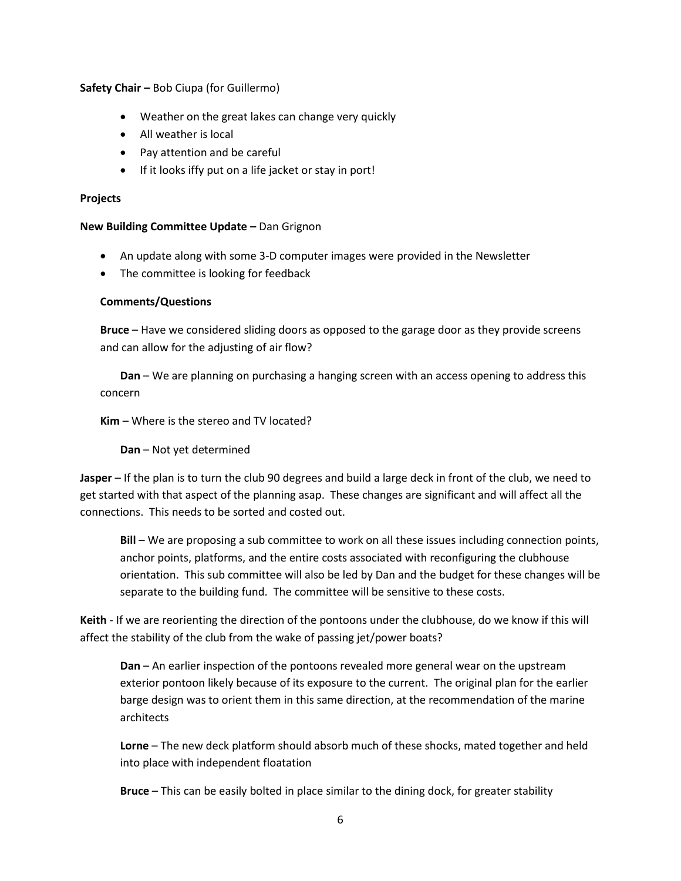**Safety Chair –** Bob Ciupa (for Guillermo)

- Weather on the great lakes can change very quickly
- All weather is local
- Pay attention and be careful
- If it looks iffy put on a life jacket or stay in port!

#### **Projects**

**New Building Committee Update –** Dan Grignon

- An update along with some 3-D computer images were provided in the Newsletter
- The committee is looking for feedback

## **Comments/Questions**

**Bruce** – Have we considered sliding doors as opposed to the garage door as they provide screens and can allow for the adjusting of air flow?

**Dan** – We are planning on purchasing a hanging screen with an access opening to address this concern

**Kim** – Where is the stereo and TV located?

**Dan** – Not yet determined

**Jasper** – If the plan is to turn the club 90 degrees and build a large deck in front of the club, we need to get started with that aspect of the planning asap. These changes are significant and will affect all the connections. This needs to be sorted and costed out.

**Bill** – We are proposing a sub committee to work on all these issues including connection points, anchor points, platforms, and the entire costs associated with reconfiguring the clubhouse orientation. This sub committee will also be led by Dan and the budget for these changes will be separate to the building fund. The committee will be sensitive to these costs.

**Keith** - If we are reorienting the direction of the pontoons under the clubhouse, do we know if this will affect the stability of the club from the wake of passing jet/power boats?

**Dan** – An earlier inspection of the pontoons revealed more general wear on the upstream exterior pontoon likely because of its exposure to the current. The original plan for the earlier barge design was to orient them in this same direction, at the recommendation of the marine architects

**Lorne** – The new deck platform should absorb much of these shocks, mated together and held into place with independent floatation

**Bruce** – This can be easily bolted in place similar to the dining dock, for greater stability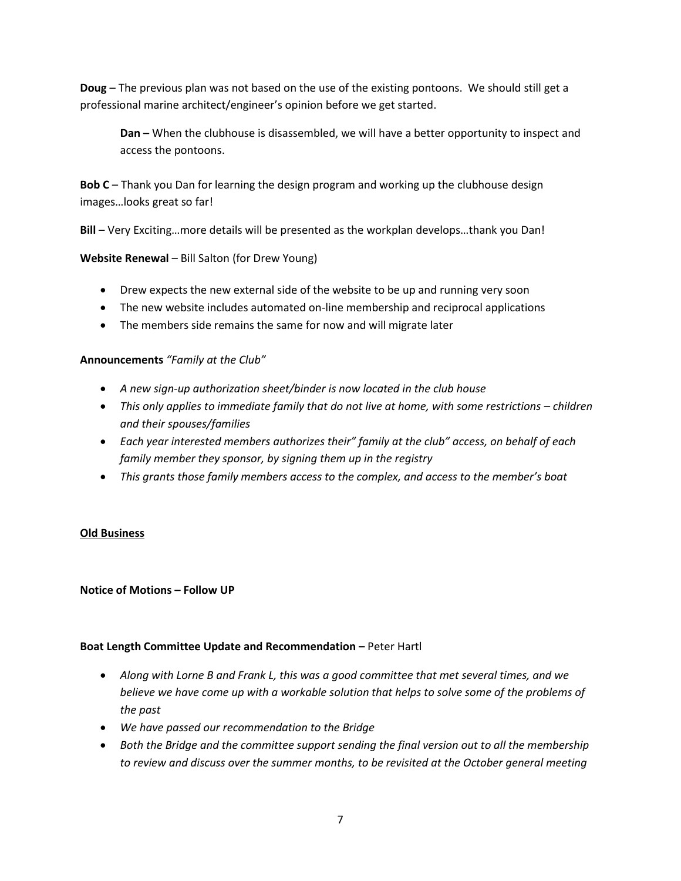**Doug** – The previous plan was not based on the use of the existing pontoons. We should still get a professional marine architect/engineer's opinion before we get started.

**Dan –** When the clubhouse is disassembled, we will have a better opportunity to inspect and access the pontoons.

**Bob C** – Thank you Dan for learning the design program and working up the clubhouse design images…looks great so far!

**Bill** – Very Exciting…more details will be presented as the workplan develops…thank you Dan!

# **Website Renewal** – Bill Salton (for Drew Young)

- Drew expects the new external side of the website to be up and running very soon
- The new website includes automated on-line membership and reciprocal applications
- The members side remains the same for now and will migrate later

# **Announcements** *"Family at the Club"*

- *A new sign-up authorization sheet/binder is now located in the club house*
- *This only applies to immediate family that do not live at home, with some restrictions – children and their spouses/families*
- *Each year interested members authorizes their" family at the club" access, on behalf of each family member they sponsor, by signing them up in the registry*
- *This grants those family members access to the complex, and access to the member's boat*

# **Old Business**

## **Notice of Motions – Follow UP**

# **Boat Length Committee Update and Recommendation – Peter Hartl**

- *Along with Lorne B and Frank L, this was a good committee that met several times, and we believe we have come up with a workable solution that helps to solve some of the problems of the past*
- *We have passed our recommendation to the Bridge*
- *Both the Bridge and the committee support sending the final version out to all the membership to review and discuss over the summer months, to be revisited at the October general meeting*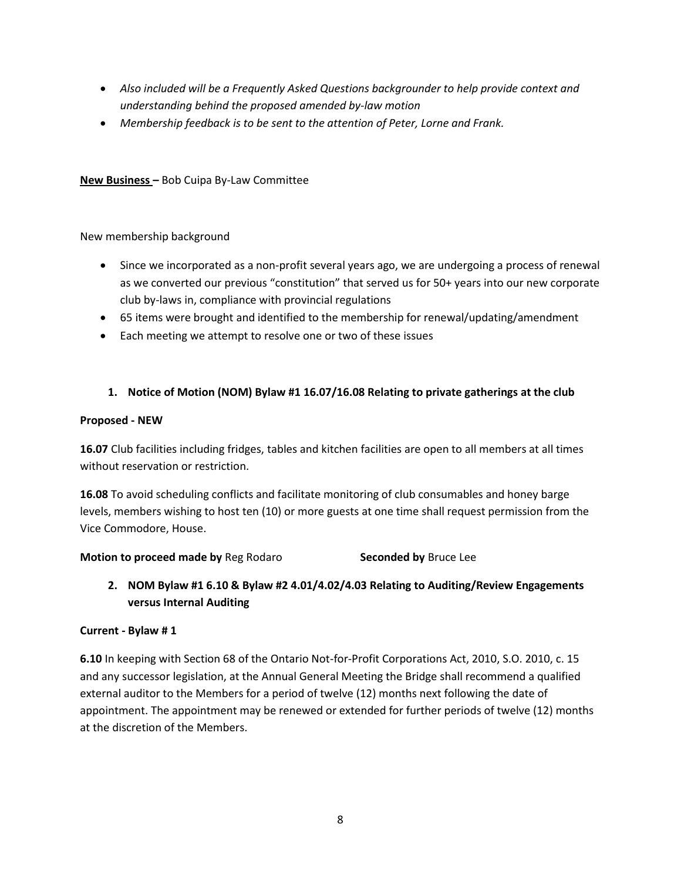- *Also included will be a Frequently Asked Questions backgrounder to help provide context and understanding behind the proposed amended by-law motion*
- *Membership feedback is to be sent to the attention of Peter, Lorne and Frank.*

# **New Business –** Bob Cuipa By-Law Committee

New membership background

- Since we incorporated as a non-profit several years ago, we are undergoing a process of renewal as we converted our previous "constitution" that served us for 50+ years into our new corporate club by-laws in, compliance with provincial regulations
- 65 items were brought and identified to the membership for renewal/updating/amendment
- Each meeting we attempt to resolve one or two of these issues

# **1. Notice of Motion (NOM) Bylaw #1 16.07/16.08 Relating to private gatherings at the club**

## **Proposed - NEW**

**16.07** Club facilities including fridges, tables and kitchen facilities are open to all members at all times without reservation or restriction.

**16.08** To avoid scheduling conflicts and facilitate monitoring of club consumables and honey barge levels, members wishing to host ten (10) or more guests at one time shall request permission from the Vice Commodore, House.

**Motion to proceed made by Reg Rodaro <b>Seconded by** Bruce Lee

**2. NOM Bylaw #1 6.10 & Bylaw #2 4.01/4.02/4.03 Relating to Auditing/Review Engagements versus Internal Auditing**

## **Current - Bylaw # 1**

**6.10** In keeping with Section 68 of the Ontario Not-for-Profit Corporations Act, 2010, S.O. 2010, c. 15 and any successor legislation, at the Annual General Meeting the Bridge shall recommend a qualified external auditor to the Members for a period of twelve (12) months next following the date of appointment. The appointment may be renewed or extended for further periods of twelve (12) months at the discretion of the Members.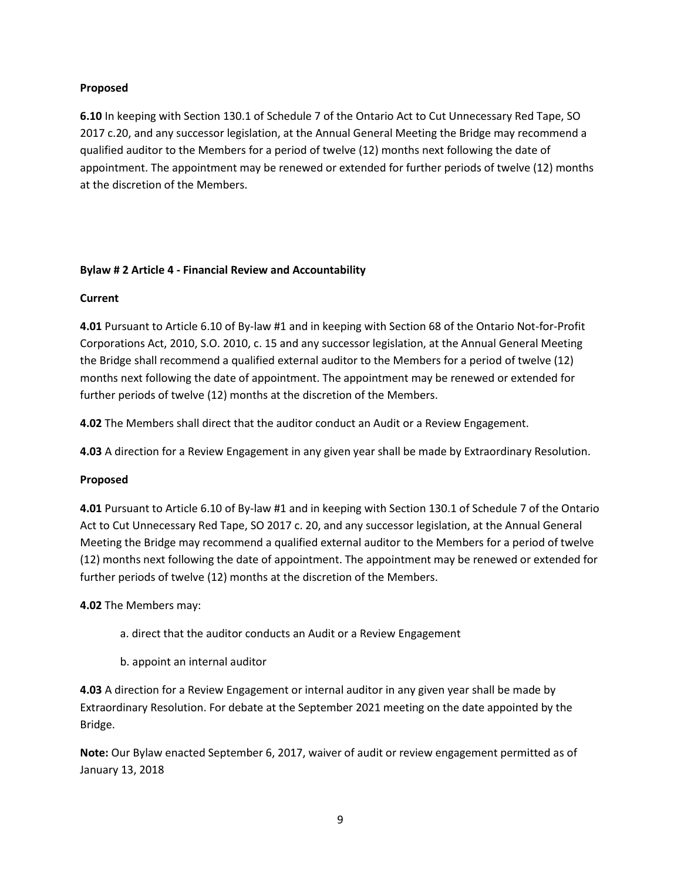## **Proposed**

**6.10** In keeping with Section 130.1 of Schedule 7 of the Ontario Act to Cut Unnecessary Red Tape, SO 2017 c.20, and any successor legislation, at the Annual General Meeting the Bridge may recommend a qualified auditor to the Members for a period of twelve (12) months next following the date of appointment. The appointment may be renewed or extended for further periods of twelve (12) months at the discretion of the Members.

# **Bylaw # 2 Article 4 - Financial Review and Accountability**

# **Current**

**4.01** Pursuant to Article 6.10 of By-law #1 and in keeping with Section 68 of the Ontario Not-for-Profit Corporations Act, 2010, S.O. 2010, c. 15 and any successor legislation, at the Annual General Meeting the Bridge shall recommend a qualified external auditor to the Members for a period of twelve (12) months next following the date of appointment. The appointment may be renewed or extended for further periods of twelve (12) months at the discretion of the Members.

**4.02** The Members shall direct that the auditor conduct an Audit or a Review Engagement.

**4.03** A direction for a Review Engagement in any given year shall be made by Extraordinary Resolution.

## **Proposed**

**4.01** Pursuant to Article 6.10 of By-law #1 and in keeping with Section 130.1 of Schedule 7 of the Ontario Act to Cut Unnecessary Red Tape, SO 2017 c. 20, and any successor legislation, at the Annual General Meeting the Bridge may recommend a qualified external auditor to the Members for a period of twelve (12) months next following the date of appointment. The appointment may be renewed or extended for further periods of twelve (12) months at the discretion of the Members.

**4.02** The Members may:

- a. direct that the auditor conducts an Audit or a Review Engagement
- b. appoint an internal auditor

**4.03** A direction for a Review Engagement or internal auditor in any given year shall be made by Extraordinary Resolution. For debate at the September 2021 meeting on the date appointed by the Bridge.

**Note:** Our Bylaw enacted September 6, 2017, waiver of audit or review engagement permitted as of January 13, 2018